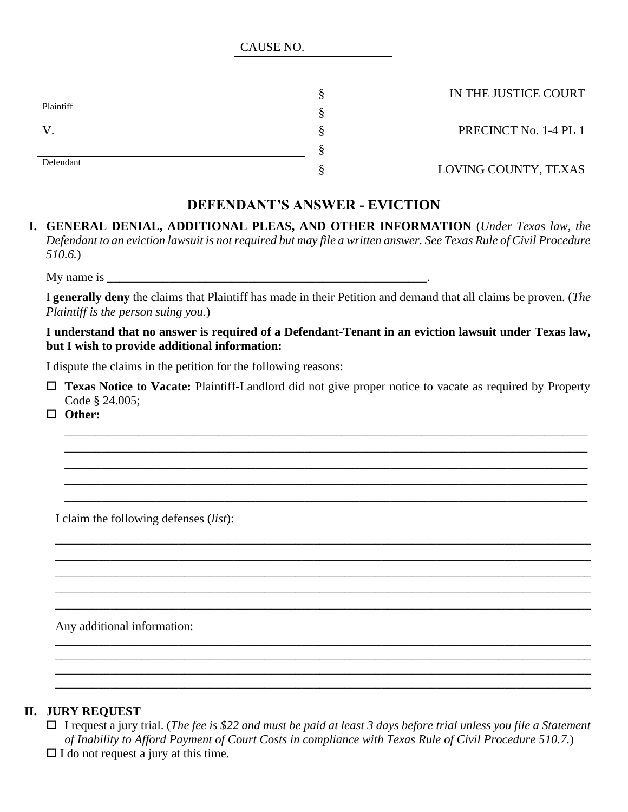CAUSE NO.

|           | § |
|-----------|---|
| Plaintiff | § |
| V         | § |
|           | § |
| Defendant | § |

§ IN THE JUSTICE COURT

PRECINCT No. 1-4 PL 1

LOVING COUNTY, TEXAS

# **DEFENDANT'S ANSWER - EVICTION**

## **I. GENERAL DENIAL, ADDITIONAL PLEAS, AND OTHER INFORMATION** (*Under Texas law, the Defendant to an eviction lawsuit is not required but may file a written answer. See Texas Rule of Civil Procedure 510.6.*)

My name is  $\frac{1}{\sqrt{1-\frac{1}{2}}}\frac{1}{\sqrt{1-\frac{1}{2}}}\frac{1}{\sqrt{1-\frac{1}{2}}}\frac{1}{\sqrt{1-\frac{1}{2}}}\frac{1}{\sqrt{1-\frac{1}{2}}}\frac{1}{\sqrt{1-\frac{1}{2}}}\frac{1}{\sqrt{1-\frac{1}{2}}}\frac{1}{\sqrt{1-\frac{1}{2}}}\frac{1}{\sqrt{1-\frac{1}{2}}}\frac{1}{\sqrt{1-\frac{1}{2}}}\frac{1}{\sqrt{1-\frac{1}{2}}}\frac{1}{\sqrt{1-\frac{1}{2}}}\frac{1}{\sqrt{1-\frac{1}{2}}}\$ 

I **generally deny** the claims that Plaintiff has made in their Petition and demand that all claims be proven. (*The Plaintiff is the person suing you.*)

## **I understand that no answer is required of a Defendant-Tenant in an eviction lawsuit under Texas law, but I wish to provide additional information:**

I dispute the claims in the petition for the following reasons:

 **Texas Notice to Vacate:** Plaintiff-Landlord did not give proper notice to vacate as required by Property Code § 24.005;

\_\_\_\_\_\_\_\_\_\_\_\_\_\_\_\_\_\_\_\_\_\_\_\_\_\_\_\_\_\_\_\_\_\_\_\_\_\_\_\_\_\_\_\_\_\_\_\_\_\_\_\_\_\_\_\_\_\_\_\_\_\_\_\_\_\_\_\_\_\_\_\_\_\_\_\_\_\_\_\_\_\_\_\_\_ \_\_\_\_\_\_\_\_\_\_\_\_\_\_\_\_\_\_\_\_\_\_\_\_\_\_\_\_\_\_\_\_\_\_\_\_\_\_\_\_\_\_\_\_\_\_\_\_\_\_\_\_\_\_\_\_\_\_\_\_\_\_\_\_\_\_\_\_\_\_\_\_\_\_\_\_\_\_\_\_\_\_\_\_\_ \_\_\_\_\_\_\_\_\_\_\_\_\_\_\_\_\_\_\_\_\_\_\_\_\_\_\_\_\_\_\_\_\_\_\_\_\_\_\_\_\_\_\_\_\_\_\_\_\_\_\_\_\_\_\_\_\_\_\_\_\_\_\_\_\_\_\_\_\_\_\_\_\_\_\_\_\_\_\_\_\_\_\_\_\_ \_\_\_\_\_\_\_\_\_\_\_\_\_\_\_\_\_\_\_\_\_\_\_\_\_\_\_\_\_\_\_\_\_\_\_\_\_\_\_\_\_\_\_\_\_\_\_\_\_\_\_\_\_\_\_\_\_\_\_\_\_\_\_\_\_\_\_\_\_\_\_\_\_\_\_\_\_\_\_\_\_\_\_\_\_ \_\_\_\_\_\_\_\_\_\_\_\_\_\_\_\_\_\_\_\_\_\_\_\_\_\_\_\_\_\_\_\_\_\_\_\_\_\_\_\_\_\_\_\_\_\_\_\_\_\_\_\_\_\_\_\_\_\_\_\_\_\_\_\_\_\_\_\_\_\_\_\_\_\_\_\_\_\_\_\_\_\_\_\_\_

\_\_\_\_\_\_\_\_\_\_\_\_\_\_\_\_\_\_\_\_\_\_\_\_\_\_\_\_\_\_\_\_\_\_\_\_\_\_\_\_\_\_\_\_\_\_\_\_\_\_\_\_\_\_\_\_\_\_\_\_\_\_\_\_\_\_\_\_\_\_\_\_\_\_\_\_\_\_\_\_\_\_\_\_\_\_\_ \_\_\_\_\_\_\_\_\_\_\_\_\_\_\_\_\_\_\_\_\_\_\_\_\_\_\_\_\_\_\_\_\_\_\_\_\_\_\_\_\_\_\_\_\_\_\_\_\_\_\_\_\_\_\_\_\_\_\_\_\_\_\_\_\_\_\_\_\_\_\_\_\_\_\_\_\_\_\_\_\_\_\_\_\_\_\_ \_\_\_\_\_\_\_\_\_\_\_\_\_\_\_\_\_\_\_\_\_\_\_\_\_\_\_\_\_\_\_\_\_\_\_\_\_\_\_\_\_\_\_\_\_\_\_\_\_\_\_\_\_\_\_\_\_\_\_\_\_\_\_\_\_\_\_\_\_\_\_\_\_\_\_\_\_\_\_\_\_\_\_\_\_\_\_ \_\_\_\_\_\_\_\_\_\_\_\_\_\_\_\_\_\_\_\_\_\_\_\_\_\_\_\_\_\_\_\_\_\_\_\_\_\_\_\_\_\_\_\_\_\_\_\_\_\_\_\_\_\_\_\_\_\_\_\_\_\_\_\_\_\_\_\_\_\_\_\_\_\_\_\_\_\_\_\_\_\_\_\_\_\_\_ \_\_\_\_\_\_\_\_\_\_\_\_\_\_\_\_\_\_\_\_\_\_\_\_\_\_\_\_\_\_\_\_\_\_\_\_\_\_\_\_\_\_\_\_\_\_\_\_\_\_\_\_\_\_\_\_\_\_\_\_\_\_\_\_\_\_\_\_\_\_\_\_\_\_\_\_\_\_\_\_\_\_\_\_\_\_\_

\_\_\_\_\_\_\_\_\_\_\_\_\_\_\_\_\_\_\_\_\_\_\_\_\_\_\_\_\_\_\_\_\_\_\_\_\_\_\_\_\_\_\_\_\_\_\_\_\_\_\_\_\_\_\_\_\_\_\_\_\_\_\_\_\_\_\_\_\_\_\_\_\_\_\_\_\_\_\_\_\_\_\_\_\_\_\_ \_\_\_\_\_\_\_\_\_\_\_\_\_\_\_\_\_\_\_\_\_\_\_\_\_\_\_\_\_\_\_\_\_\_\_\_\_\_\_\_\_\_\_\_\_\_\_\_\_\_\_\_\_\_\_\_\_\_\_\_\_\_\_\_\_\_\_\_\_\_\_\_\_\_\_\_\_\_\_\_\_\_\_\_\_\_\_ \_\_\_\_\_\_\_\_\_\_\_\_\_\_\_\_\_\_\_\_\_\_\_\_\_\_\_\_\_\_\_\_\_\_\_\_\_\_\_\_\_\_\_\_\_\_\_\_\_\_\_\_\_\_\_\_\_\_\_\_\_\_\_\_\_\_\_\_\_\_\_\_\_\_\_\_\_\_\_\_\_\_\_\_\_\_\_ \_\_\_\_\_\_\_\_\_\_\_\_\_\_\_\_\_\_\_\_\_\_\_\_\_\_\_\_\_\_\_\_\_\_\_\_\_\_\_\_\_\_\_\_\_\_\_\_\_\_\_\_\_\_\_\_\_\_\_\_\_\_\_\_\_\_\_\_\_\_\_\_\_\_\_\_\_\_\_\_\_\_\_\_\_\_\_

**Other:** 

I claim the following defenses (*list*):

Any additional information:

## **II. JURY REQUEST**

 I request a jury trial. (*The fee is \$22 and must be paid at least 3 days before trial unless you file a Statement of Inability to Afford Payment of Court Costs in compliance with Texas Rule of Civil Procedure 510.7.*)  $\Box$  I do not request a jury at this time.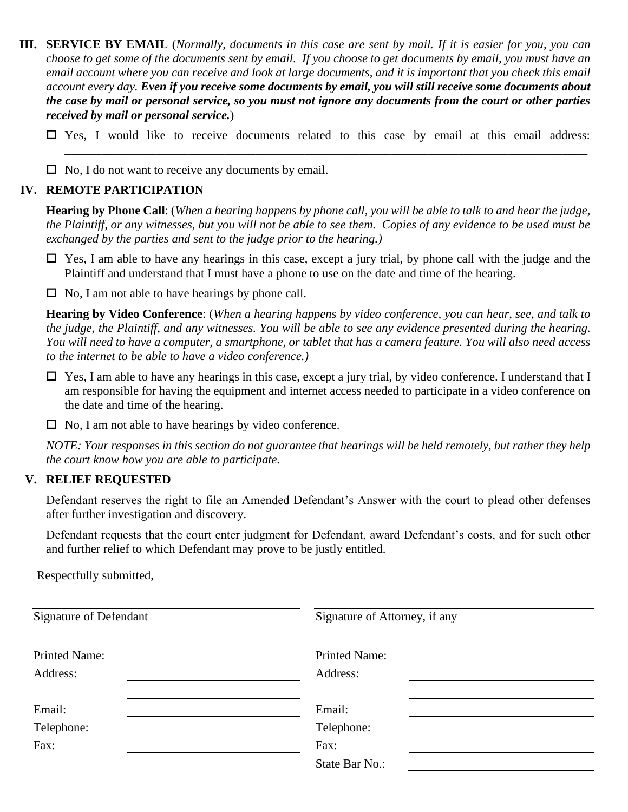**III. SERVICE BY EMAIL** (*Normally, documents in this case are sent by mail. If it is easier for you, you can choose to get some of the documents sent by email. If you choose to get documents by email, you must have an email account where you can receive and look at large documents, and it is important that you check this email account every day. Even if you receive some documents by email, you will still receive some documents about the case by mail or personal service, so you must not ignore any documents from the court or other parties received by mail or personal service.*)

 $\square$  Yes, I would like to receive documents related to this case by email at this email address: \_\_\_\_\_\_\_\_\_\_\_\_\_\_\_\_\_\_\_\_\_\_\_\_\_\_\_\_\_\_\_\_\_\_\_\_\_\_\_\_\_\_\_\_\_\_\_\_\_\_\_\_\_\_\_\_\_\_\_\_\_\_\_\_\_\_\_\_\_\_\_\_\_\_\_\_\_\_\_\_\_\_\_\_\_

 $\Box$  No, I do not want to receive any documents by email.

#### **IV. REMOTE PARTICIPATION**

**Hearing by Phone Call**: (*When a hearing happens by phone call, you will be able to talk to and hear the judge, the Plaintiff, or any witnesses, but you will not be able to see them. Copies of any evidence to be used must be exchanged by the parties and sent to the judge prior to the hearing.)*

 $\Box$  Yes, I am able to have any hearings in this case, except a jury trial, by phone call with the judge and the Plaintiff and understand that I must have a phone to use on the date and time of the hearing.

 $\Box$  No, I am not able to have hearings by phone call.

**Hearing by Video Conference**: (*When a hearing happens by video conference, you can hear, see, and talk to the judge, the Plaintiff, and any witnesses. You will be able to see any evidence presented during the hearing. You will need to have a computer, a smartphone, or tablet that has a camera feature. You will also need access to the internet to be able to have a video conference.)*

- $\Box$  Yes, I am able to have any hearings in this case, except a jury trial, by video conference. I understand that I am responsible for having the equipment and internet access needed to participate in a video conference on the date and time of the hearing.
- $\Box$  No, I am not able to have hearings by video conference.

*NOTE: Your responses in this section do not guarantee that hearings will be held remotely, but rather they help the court know how you are able to participate.*

### **V. RELIEF REQUESTED**

Defendant reserves the right to file an Amended Defendant's Answer with the court to plead other defenses after further investigation and discovery.

Defendant requests that the court enter judgment for Defendant, award Defendant's costs, and for such other and further relief to which Defendant may prove to be justly entitled.

Respectfully submitted,

| <b>Signature of Defendant</b> | Signature of Attorney, if any |  |
|-------------------------------|-------------------------------|--|
| <b>Printed Name:</b>          | <b>Printed Name:</b>          |  |
| Address:                      | Address:                      |  |
| Email:                        | Email:                        |  |
| Telephone:                    | Telephone:                    |  |
| Fax:                          | Fax:                          |  |
|                               | State Bar No.:                |  |